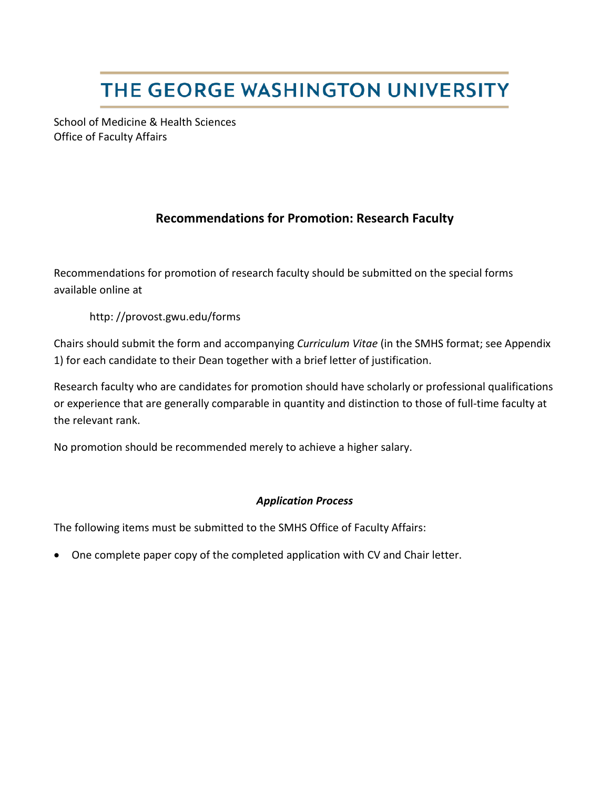# THE GEORGE WASHINGTON UNIVERSITY

School of Medicine & Health Sciences Office of Faculty Affairs

### **Recommendations for Promotion: Research Faculty**

Recommendations for promotion of research faculty should be submitted on the special forms available online at

http: //provost.gwu.edu/forms

Chairs should submit the form and accompanying *Curriculum Vitae* (in the SMHS format; see Appendix 1) for each candidate to their Dean together with a brief letter of justification.

Research faculty who are candidates for promotion should have scholarly or professional qualifications or experience that are generally comparable in quantity and distinction to those of full-time faculty at the relevant rank.

No promotion should be recommended merely to achieve a higher salary.

#### *Application Process*

The following items must be submitted to the SMHS Office of Faculty Affairs:

• One complete paper copy of the completed application with CV and Chair letter.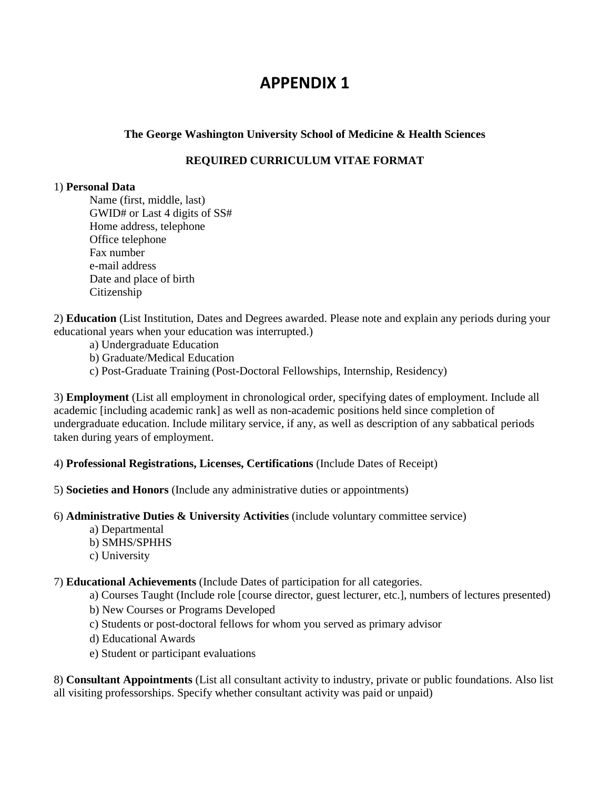## **APPENDIX 1**

#### **The George Washington University School of Medicine & Health Sciences**

#### **REQUIRED CURRICULUM VITAE FORMAT**

#### 1) **Personal Data**

Name (first, middle, last) GWID# or Last 4 digits of SS# Home address, telephone Office telephone Fax number e-mail address Date and place of birth Citizenship

2) **Education** (List Institution, Dates and Degrees awarded. Please note and explain any periods during your educational years when your education was interrupted.)

- a) Undergraduate Education
- b) Graduate/Medical Education
- c) Post-Graduate Training (Post-Doctoral Fellowships, Internship, Residency)

3) **Employment** (List all employment in chronological order, specifying dates of employment. Include all academic [including academic rank] as well as non-academic positions held since completion of undergraduate education. Include military service, if any, as well as description of any sabbatical periods taken during years of employment.

4) **Professional Registrations, Licenses, Certifications** (Include Dates of Receipt)

- 5) **Societies and Honors** (Include any administrative duties or appointments)
- 6) **Administrative Duties & University Activities** (include voluntary committee service)
	- a) Departmental
	- b) SMHS/SPHHS
	- c) University

7) **Educational Achievements** (Include Dates of participation for all categories.

- a) Courses Taught (Include role [course director, guest lecturer, etc.], numbers of lectures presented)
- b) New Courses or Programs Developed
- c) Students or post-doctoral fellows for whom you served as primary advisor
- d) Educational Awards
- e) Student or participant evaluations

8) **Consultant Appointments** (List all consultant activity to industry, private or public foundations. Also list all visiting professorships. Specify whether consultant activity was paid or unpaid)